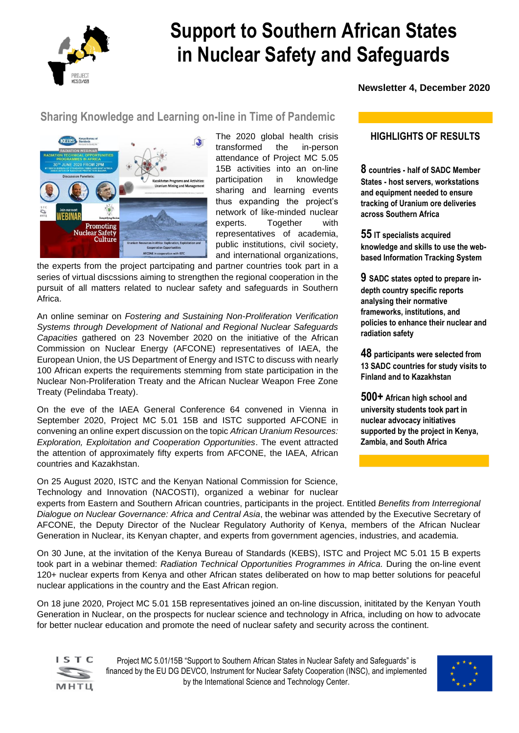

# **Support to Southern African States in Nuclear Safety and Safeguards**

 **Newsletter 4, December 2020** 

#### **Sharing Knowledge and Learning on-line in Time of Pandemic**



The 2020 global health crisis transformed the in-person attendance of Project MC 5.05 15B activities into an on-line participation in knowledge sharing and learning events thus expanding the project's network of like-minded nuclear experts. Together with representatives of academia, public institutions, civil society, and international organizations,

the experts from the project partcipating and partner countries took part in a series of virtual discssions aiming to strengthen the regional cooperation in the pursuit of all matters related to nuclear safety and safeguards in Southern Africa.

An online seminar on *Fostering and Sustaining Non-Proliferation Verification Systems through Development of National and Regional Nuclear Safeguards Capacities* gathered on 23 November 2020 on the initiative of the African Commission on Nuclear Energy (AFCONE) representatives of IAEA, the European Union, the US Department of Energy and ISTC to discuss with nearly 100 African experts the requirements stemming from state participation in the Nuclear Non-Proliferation Treaty and the African Nuclear Weapon Free Zone Treaty (Pelindaba Treaty).

On the eve of the IAEA General Conference 64 convened in Vienna in September 2020, Project MC 5.01 15B and ISTC supported AFCONE in convening an online expert discussion on the topic *African Uranium Resources: Exploration, Exploitation and Cooperation Opportunities*. The event attracted the attention of approximately fifty experts from AFCONE, the IAEA, African countries and Kazakhstan.

On 25 August 2020, ISTC and the Kenyan National Commission for Science, Technology and Innovation (NACOSTI), organized a webinar for nuclear **HIGHLIGHTS OF RESULTS**

**8 countries - half of SADC Member States - host servers, workstations and equipment needed to ensure tracking of Uranium ore deliveries across Southern Africa**

**55 IT specialists acquired knowledge and skills to use the webbased Information Tracking System**

**9 SADC states opted to prepare indepth country specific reports analysing their normative frameworks, institutions, and policies to enhance their nuclear and radiation safety**

**48 participants were selected from 13 SADC countries for study visits to Finland and to Kazakhstan**

**500+ African high school and university students took part in nuclear advocacy initiatives supported by the project in Kenya, Zambia, and South Africa**

experts from Eastern and Southern African countries, participants in the project. Entitled *Benefits from Interregional Dialogue on Nuclear Governance: Africa and Central Asia*, the webinar was attended by the Executive Secretary of AFCONE, the Deputy Director of the Nuclear Regulatory Authority of Kenya, members of the African Nuclear Generation in Nuclear, its Kenyan chapter, and experts from government agencies, industries, and academia.

On 30 June, at the invitation of the Kenya Bureau of Standards (KEBS), ISTC and Project MC 5.01 15 B experts took part in a webinar themed: *Radiation Technical Opportunities Programmes in Africa.* During the on-line event 120+ nuclear experts from Kenya and other African states deliberated on how to map better solutions for peaceful nuclear applications in the country and the East African region.

On 18 june 2020, Project MC 5.01 15B representatives joined an on-line discussion, inititated by the Kenyan Youth Generation in Nuclear, on the prospects for nuclear science and technology in Africa, including on how to advocate for better nuclear education and promote the need of nuclear safety and security across the continent.



Project MC 5.01/15B "Support to Southern African States in Nuclear Safety and Safeguards" is financed by the EU DG DEVCO, Instrument for Nuclear Safety Cooperation (INSC), and implemented by the International Science and Technology Center.

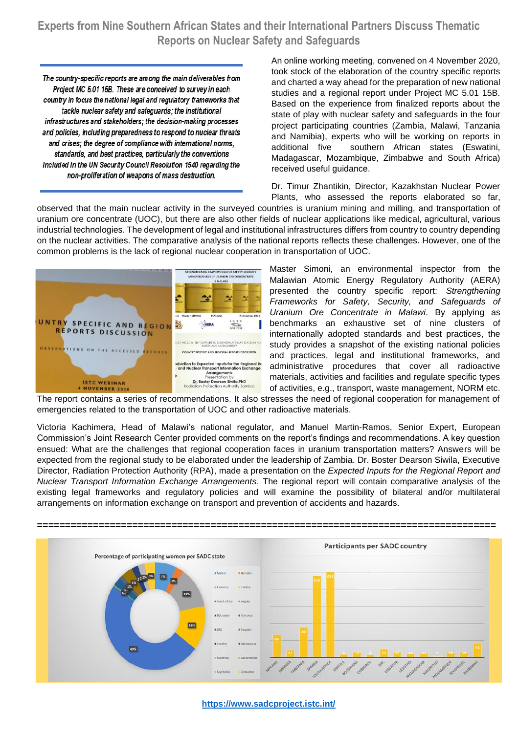**Experts from Nine Southern African States and their International Partners Discuss Thematic Reports on Nuclear Safety and Safeguards**

The country-specific reports are among the main deliverables from Project MC 5.01 15B. These are conceived to survey in each country in focus the national legal and regulatory frameworks that tackle nuclear safety and safeguards; the institutional infrastructures and stakeholders; the decision-making processes and policies, including preparedness to respond to nuclear threats and crises; the degree of compliance with international norms, standards, and best practices, particularly the conventions included in the UN Security Council Resolution 1540 regarding the non-proliferation of weapons of mass destruction.

An online working meeting, convened on 4 November 2020, took stock of the elaboration of the country specific reports and charted a way ahead for the preparation of new national studies and a regional report under Project MC 5.01 15B. Based on the experience from finalized reports about the state of play with nuclear safety and safeguards in the four project participating countries (Zambia, Malawi, Tanzania and Namibia), experts who will be working on reports in additional five southern African states (Eswatini, Madagascar, Mozambique, Zimbabwe and South Africa) received useful guidance.

Dr. Timur Zhantikin, Director, Kazakhstan Nuclear Power Plants, who assessed the reports elaborated so far,

observed that the main nuclear activity in the surveyed countries is uranium mining and milling, and transportation of uranium ore concentrate (UOC), but there are also other fields of nuclear applications like medical, agricultural, various industrial technologies. The development of legal and institutional infrastructures differs from country to country depending on the nuclear activities. The comparative analysis of the national reports reflects these challenges. However, one of the common problems is the lack of regional nuclear cooperation in transportation of UOC.



Master Simoni, an environmental inspector from the Malawian Atomic Energy Regulatory Authority (AERA) presented the country specific report: *Strengthening Frameworks for Safety, Security, and Safeguards of Uranium Ore Concentrate in Malawi*. By applying as benchmarks an exhaustive set of nine clusters of internationally adopted standards and best practices, the study provides a snapshot of the existing national policies and practices, legal and institutional frameworks, and administrative procedures that cover all radioactive materials, activities and facilities and regulate specific types of activities, e.g., transport, waste management, NORM etc.

The report contains a series of recommendations. It also stresses the need of regional cooperation for management of emergencies related to the transportation of UOC and other radioactive materials.

Victoria Kachimera, Head of Malawi's national regulator, and Manuel Martin-Ramos, Senior Expert, European Commission's Joint Research Center provided comments on the report's findings and recommendations. A key question ensued: What are the challenges that regional cooperation faces in uranium transportation matters? Answers will be expected from the regional study to be elaborated under the leadership of Zambia. Dr. Boster Dearson Siwila, Executive Director, Radiation Protection Authority (RPA), made a presentation on the *Expected Inputs for the Regional Report and Nuclear Transport Information Exchange Arrangements.* The regional report will contain comparative analysis of the existing legal frameworks and regulatory policies and will examine the possibility of bilateral and/or multilateral arrangements on information exchange on transport and prevention of accidents and hazards.



**<https://www.sadcproject.istc.int/>**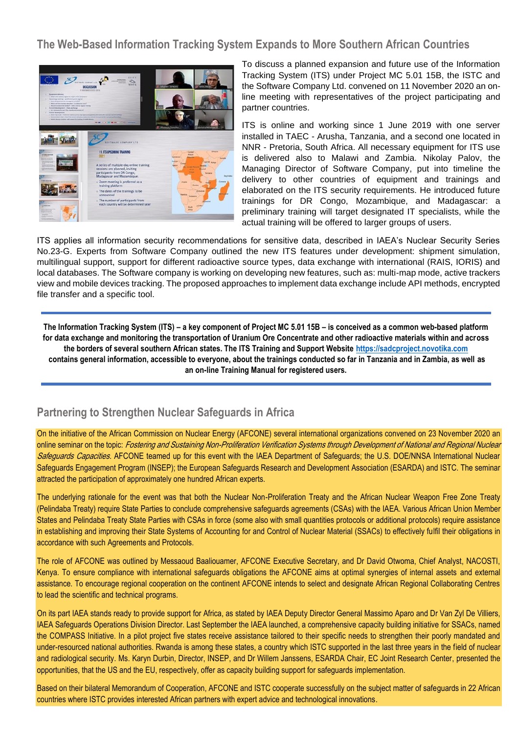**The Web-Based Information Tracking System Expands to More Southern African Countries**



To discuss a planned expansion and future use of the Information Tracking System (ITS) under Project MC 5.01 15B, the ISTC and the Software Company Ltd. convened on 11 November 2020 an online meeting with representatives of the project participating and partner countries.

ITS is online and working since 1 June 2019 with one server installed in TAEC - Arusha, Tanzania, and a second one located in NNR - Pretoria, South Africa. All necessary equipment for ITS use is delivered also to Malawi and Zambia. Nikolay Palov, the Managing Director of Software Company, put into timeline the delivery to other countries of equipment and trainings and elaborated on the ITS security requirements. He introduced future trainings for DR Congo, Mozambique, and Madagascar: a preliminary training will target designated IT specialists, while the actual training will be offered to larger groups of users.

ITS applies all information security recommendations for sensitive data, described in IAEA's Nuclear Security Series No.23-G. Experts from Software Company outlined the new ITS features under development: shipment simulation, multilingual support, support for different radioactive source types, data exchange with international (RAIS, IORIS) and local databases. The Software company is working on developing new features, such as: multi-map mode, active trackers view and mobile devices tracking. The proposed approaches to implement data exchange include API methods, encrypted file transfer and a specific tool.

**The Information Tracking System (ITS) – a key component of Project MC 5.01 15B – is conceived as a common web-based platform for data exchange and monitoring the transportation of Uranium Ore Concentrate and other radioactive materials within and across the borders of several southern African states. The ITS Training and Support Website [https://sadcproject.novotika.com](https://sadcproject.novotika.com/) contains general information, accessible to everyone, about the trainings conducted so far in Tanzania and in Zambia, as well as an on-line Training Manual for registered users.**

## **Partnering to Strengthen Nuclear Safeguards in Africa**

On the initiative of the African Commission on Nuclear Energy (AFCONE) several international organizations convened on 23 November 2020 an online seminar on the topic: *Fostering and Sustaining Non-Proliferation Verification Systems through Development of National and Regional Nuclear* Safeguards Capacities. AFCONE teamed up for this event with the IAEA Department of Safeguards; the U.S. DOE/NNSA International Nuclear Safeguards Engagement Program (INSEP); the European Safeguards Research and Development Association (ESARDA) and ISTC. The seminar attracted the participation of approximately one hundred African experts.

The underlying rationale for the event was that both the Nuclear Non-Proliferation Treaty and the African Nuclear Weapon Free Zone Treaty (Pelindaba Treaty) require State Parties to conclude comprehensive safeguards agreements (CSAs) with the IAEA. Various African Union Member States and Pelindaba Treaty State Parties with CSAs in force (some also with small quantities protocols or additional protocols) require assistance in establishing and improving their State Systems of Accounting for and Control of Nuclear Material (SSACs) to effectively fulfil their obligations in accordance with such Agreements and Protocols.

The role of AFCONE was outlined by Messaoud Baaliouamer, AFCONE Executive Secretary, and Dr David Otwoma, Chief Analyst, NACOSTI, Kenya. To ensure compliance with international safeguards obligations the AFCONE aims at optimal synergies of internal assets and external assistance. To encourage regional cooperation on the continent AFCONE intends to select and designate African Regional Collaborating Centres to lead the scientific and technical programs.

On its part IAEA stands ready to provide support for Africa, as stated by IAEA Deputy Director General Massimo Aparo and Dr Van Zyl De Villiers, IAEA Safeguards Operations Division Director. Last September the IAEA launched, a comprehensive capacity building initiative for SSACs, named the COMPASS Initiative. In a pilot project five states receive assistance tailored to their specific needs to strengthen their poorly mandated and under-resourced national authorities. Rwanda is among these states, a country which ISTC supported in the last three years in the field of nuclear and radiological security. Ms. Karyn Durbin, Director, INSEP, and Dr Willem Janssens, ESARDA Chair, EC Joint Research Center, presented the opportunities, that the US and the EU, respectively, offer as capacity building support for safeguards implementation.

Based on their bilateral Memorandum of Cooperation, AFCONE and ISTC cooperate successfully on the subject matter of safeguards in 22 African countries where ISTC provides interested African partners with expert advice and technological innovations.